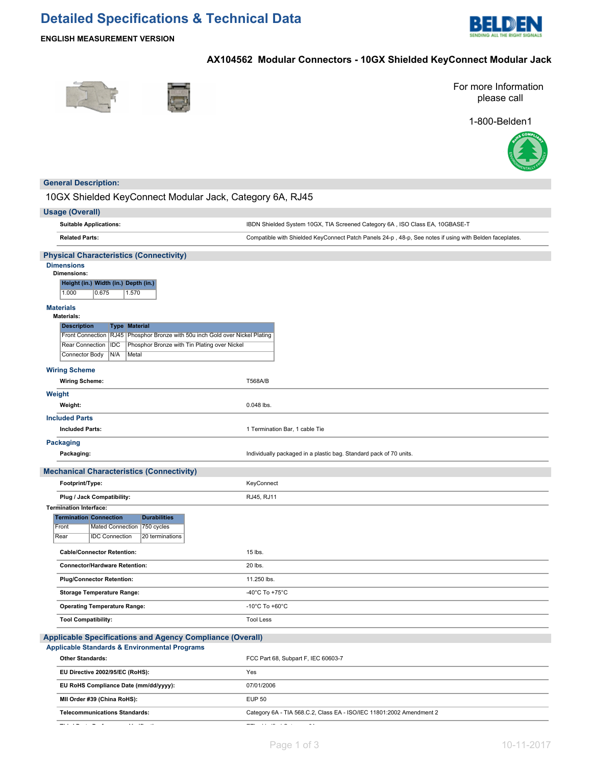# **Detailed Specifications & Technical Data**



**ENGLISH MEASUREMENT VERSION**

# **AX104562 Modular Connectors - 10GX Shielded KeyConnect Modular Jack**





For more Information please call

1-800-Belden1



## **General Description:**

10GX Shielded KeyConnect Modular Jack, Category 6A, RJ45

|        | <b>Usage (Overall)</b>                                                                                                                                      |                                                                                                         |  |  |  |  |  |
|--------|-------------------------------------------------------------------------------------------------------------------------------------------------------------|---------------------------------------------------------------------------------------------------------|--|--|--|--|--|
|        | <b>Suitable Applications:</b>                                                                                                                               | IBDN Shielded System 10GX, TIA Screened Category 6A, ISO Class EA, 10GBASE-T                            |  |  |  |  |  |
|        | <b>Related Parts:</b>                                                                                                                                       | Compatible with Shielded KeyConnect Patch Panels 24-p, 48-p, See notes if using with Belden faceplates. |  |  |  |  |  |
|        | <b>Physical Characteristics (Connectivity)</b>                                                                                                              |                                                                                                         |  |  |  |  |  |
|        | <b>Dimensions</b>                                                                                                                                           |                                                                                                         |  |  |  |  |  |
|        | <b>Dimensions:</b><br>Height (in.) Width (in.) Depth (in.)                                                                                                  |                                                                                                         |  |  |  |  |  |
|        | 1.000<br>0.675<br>1.570                                                                                                                                     |                                                                                                         |  |  |  |  |  |
|        | <b>Materials</b>                                                                                                                                            |                                                                                                         |  |  |  |  |  |
|        | <b>Materials:</b>                                                                                                                                           |                                                                                                         |  |  |  |  |  |
|        | <b>Description</b><br><b>Type Material</b>                                                                                                                  |                                                                                                         |  |  |  |  |  |
|        | Front Connection   RJ45   Phosphor Bronze with 50u inch Gold over Nickel Plating<br>Rear Connection<br> IDC<br>Phosphor Bronze with Tin Plating over Nickel |                                                                                                         |  |  |  |  |  |
|        | N/A<br>Connector Body<br>Metal                                                                                                                              |                                                                                                         |  |  |  |  |  |
|        | <b>Wiring Scheme</b>                                                                                                                                        |                                                                                                         |  |  |  |  |  |
|        | <b>Wiring Scheme:</b>                                                                                                                                       | <b>T568A/B</b>                                                                                          |  |  |  |  |  |
| Weight |                                                                                                                                                             |                                                                                                         |  |  |  |  |  |
|        | Weight:                                                                                                                                                     | 0.048 lbs.                                                                                              |  |  |  |  |  |
|        | <b>Included Parts</b>                                                                                                                                       |                                                                                                         |  |  |  |  |  |
|        | <b>Included Parts:</b>                                                                                                                                      | 1 Termination Bar, 1 cable Tie                                                                          |  |  |  |  |  |
|        | <b>Packaging</b><br>Packaging:                                                                                                                              | Individually packaged in a plastic bag. Standard pack of 70 units.                                      |  |  |  |  |  |
|        |                                                                                                                                                             |                                                                                                         |  |  |  |  |  |
|        | <b>Mechanical Characteristics (Connectivity)</b>                                                                                                            |                                                                                                         |  |  |  |  |  |
|        | Footprint/Type:                                                                                                                                             | KeyConnect                                                                                              |  |  |  |  |  |
|        | Plug / Jack Compatibility:                                                                                                                                  | RJ45, RJ11                                                                                              |  |  |  |  |  |
|        | <b>Termination Interface:</b>                                                                                                                               |                                                                                                         |  |  |  |  |  |
|        | <b>Termination Connection</b><br><b>Durabilities</b><br>Front<br>Mated Connection<br>750 cycles                                                             |                                                                                                         |  |  |  |  |  |
|        | Rear<br><b>IDC Connection</b><br>20 terminations                                                                                                            |                                                                                                         |  |  |  |  |  |
|        | <b>Cable/Connector Retention:</b>                                                                                                                           | 15 lbs.                                                                                                 |  |  |  |  |  |
|        | <b>Connector/Hardware Retention:</b>                                                                                                                        | 20 lbs.                                                                                                 |  |  |  |  |  |
|        | <b>Plug/Connector Retention:</b>                                                                                                                            | 11.250 lbs.                                                                                             |  |  |  |  |  |
|        | <b>Storage Temperature Range:</b>                                                                                                                           | -40°C To +75°C                                                                                          |  |  |  |  |  |
|        | <b>Operating Temperature Range:</b>                                                                                                                         | -10 $^{\circ}$ C To +60 $^{\circ}$ C                                                                    |  |  |  |  |  |
|        | <b>Tool Compatibility:</b>                                                                                                                                  | <b>Tool Less</b>                                                                                        |  |  |  |  |  |
|        | <b>Applicable Specifications and Agency Compliance (Overall)</b>                                                                                            |                                                                                                         |  |  |  |  |  |
|        | <b>Applicable Standards &amp; Environmental Programs</b>                                                                                                    |                                                                                                         |  |  |  |  |  |
|        | <b>Other Standards:</b>                                                                                                                                     | FCC Part 68, Subpart F, IEC 60603-7                                                                     |  |  |  |  |  |
|        | EU Directive 2002/95/EC (RoHS):                                                                                                                             | Yes                                                                                                     |  |  |  |  |  |
|        | EU RoHS Compliance Date (mm/dd/yyyy):                                                                                                                       | 07/01/2006                                                                                              |  |  |  |  |  |
|        | MII Order #39 (China RoHS):                                                                                                                                 | <b>EUP 50</b>                                                                                           |  |  |  |  |  |
|        | <b>Telecommunications Standards:</b>                                                                                                                        | Category 6A - TIA 568.C.2, Class EA - ISO/IEC 11801:2002 Amendment 2                                    |  |  |  |  |  |

**Third Party Performance Verification:** ETL - Verified Category 6A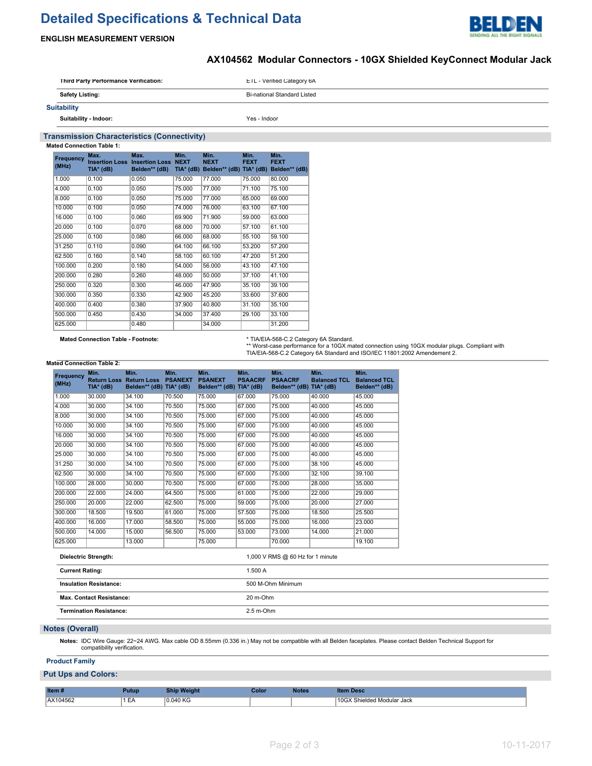# **Detailed Specifications & Technical Data**



## **ENGLISH MEASUREMENT VERSION**

## **AX104562 Modular Connectors - 10GX Shielded KeyConnect Modular Jack**

| Third Party Performance Verification: | <b>EIL-Verified Category 6A</b> |
|---------------------------------------|---------------------------------|
| <b>Safety Listing:</b>                | Bi-national Standard Listed     |
| <b>Suitability</b>                    |                                 |
| Suitability Indoor:                   | Yes - Indoor                    |

### **Transmission Characteristics (Connectivity)**

**Mated Connection Table 1:**

| <b>Frequency</b><br>(MHz) | Max.<br><b>Insertion Loss</b><br>TIA* (dB) | Max.<br><b>Insertion Loss</b><br>Belden** (dB) | Min.<br><b>NEXT</b><br>$TIA*$ (dB) | Min.<br><b>NEXT</b><br>Belden** (dB) TIA* (dB) | Min.<br><b>FEXT</b> | Min.<br><b>FEXT</b><br>Belden** (dB) |
|---------------------------|--------------------------------------------|------------------------------------------------|------------------------------------|------------------------------------------------|---------------------|--------------------------------------|
| 1.000                     | 0.100                                      | 0.050                                          | 75,000                             | 77.000                                         | 75,000              | 80.000                               |
| 4.000                     | 0.100                                      | 0.050                                          | 75.000                             | 77.000                                         | 71.100              | 75.100                               |
| 8.000                     | 0.100                                      | 0.050                                          | 75.000                             | 77.000                                         | 65.000              | 69.000                               |
| 10.000                    | 0.100                                      | 0.050                                          | 74.000                             | 76.000                                         | 63.100              | 67.100                               |
| 16.000                    | 0.100                                      | 0.060                                          | 69.900                             | 71.900                                         | 59.000              | 63.000                               |
| 20.000                    | 0.100                                      | 0.070                                          | 68.000                             | 70.000                                         | 57.100              | 61.100                               |
| 25,000                    | 0.100                                      | 0.080                                          | 66,000                             | 68,000                                         | 55.100              | 59.100                               |
| 31.250                    | 0.110                                      | 0.090                                          | 64.100                             | 66.100                                         | 53.200              | 57.200                               |
| 62.500                    | 0.160                                      | 0.140                                          | 58.100                             | 60.100                                         | 47.200              | 51.200                               |
| 100.000                   | 0.200                                      | 0.180                                          | 54.000                             | 56,000                                         | 43.100              | 47.100                               |
| 200.000                   | 0.280                                      | 0.260                                          | 48.000                             | 50.000                                         | 37.100              | 41.100                               |
| 250,000                   | 0.320                                      | 0.300                                          | 46.000                             | 47.900                                         | 35.100              | 39.100                               |
| 300.000                   | 0.350                                      | 0.330                                          | 42.900                             | 45.200                                         | 33,600              | 37,600                               |
| 400.000                   | 0.400                                      | 0.380                                          | 37.900                             | 40.800                                         | 31.100              | 35.100                               |
| 500.000                   | 0.450                                      | 0.430                                          | 34.000                             | 37.400                                         | 29.100              | 33.100                               |
| 625.000                   |                                            | 0.480                                          |                                    | 34.000                                         |                     | 31.200                               |

**Mated Connection Table - Footnote:** \* TIA/EIA-568-C.2 Category 6A Standard. \*\* Worst-case performance for a 10GX mated connection using 10GX modular plugs. Compliant with TIA/EIA-568-C.2 Category 6A Standard and ISO/IEC 11801:2002 Amendement 2.

#### **Mated Connection Table 2:**

| Frequency<br>(MHz) | Min.<br><b>Return Loss</b><br>$TIA*$ (dB) | Min.<br><b>Return Loss</b><br>Belden** (dB) TIA* (dB) | Min.<br><b>PSANEXT</b> | Min.<br><b>PSANEXT</b><br>Belden** (dB) TIA* (dB) | Min.<br><b>PSAACRF</b> | Min.<br><b>PSAACRF</b><br>Belden** (dB) | Min.<br><b>Balanced TCL</b><br>$TIA*$ (dB) | Min.<br><b>Balanced TCL</b><br>Belden** (dB) |
|--------------------|-------------------------------------------|-------------------------------------------------------|------------------------|---------------------------------------------------|------------------------|-----------------------------------------|--------------------------------------------|----------------------------------------------|
| 1.000              | 30.000                                    | 34.100                                                | 70.500                 | 75,000                                            | 67.000                 | 75,000                                  | 40.000                                     | 45.000                                       |
| 4.000              | 30.000                                    | 34.100                                                | 70.500                 | 75.000                                            | 67.000                 | 75.000                                  | 40.000                                     | 45.000                                       |
| 8.000              | 30.000                                    | 34.100                                                | 70.500                 | 75.000                                            | 67.000                 | 75.000                                  | 40.000                                     | 45.000                                       |
| 10.000             | 30.000                                    | 34.100                                                | 70.500                 | 75,000                                            | 67.000                 | 75.000                                  | 40.000                                     | 45.000                                       |
| 16.000             | 30.000                                    | 34.100                                                | 70.500                 | 75.000                                            | 67.000                 | 75.000                                  | 40.000                                     | 45.000                                       |
| 20.000             | 30.000                                    | 34.100                                                | 70.500                 | 75.000                                            | 67.000                 | 75.000                                  | 40.000                                     | 45.000                                       |
| 25.000             | 30.000                                    | 34.100                                                | 70.500                 | 75.000                                            | 67.000                 | 75.000                                  | 40.000                                     | 45.000                                       |
| 31.250             | 30.000                                    | 34.100                                                | 70.500                 | 75.000                                            | 67.000                 | 75.000                                  | 38.100                                     | 45.000                                       |
| 62.500             | 30.000                                    | 34.100                                                | 70.500                 | 75.000                                            | 67.000                 | 75.000                                  | 32.100                                     | 39.100                                       |
| 100.000            | 28.000                                    | 30.000                                                | 70.500                 | 75.000                                            | 67.000                 | 75.000                                  | 28,000                                     | 35,000                                       |
| 200.000            | 22.000                                    | 24.000                                                | 64.500                 | 75.000                                            | 61.000                 | 75.000                                  | 22.000                                     | 29.000                                       |
| 250,000            | 20.000                                    | 22.000                                                | 62.500                 | 75.000                                            | 59.000                 | 75.000                                  | 20.000                                     | 27.000                                       |
| 300.000            | 18.500                                    | 19.500                                                | 61.000                 | 75,000                                            | 57.500                 | 75.000                                  | 18.500                                     | 25.500                                       |
| 400.000            | 16.000                                    | 17.000                                                | 58.500                 | 75.000                                            | 55.000                 | 75.000                                  | 16.000                                     | 23.000                                       |
| 500.000            | 14.000                                    | 15.000                                                | 56.500                 | 75.000                                            | 53.000                 | 73.000                                  | 14.000                                     | 21.000                                       |
| 625.000            |                                           | 13.000                                                |                        | 75,000                                            |                        | 70.000                                  |                                            | 19.100                                       |

| <b>Dielectric Strength:</b>     | 1,000 V RMS $@60$ Hz for 1 minute |  |  |
|---------------------------------|-----------------------------------|--|--|
| <b>Current Rating:</b>          | 1.500 A                           |  |  |
| <b>Insulation Resistance:</b>   | 500 M-Ohm Minimum                 |  |  |
| <b>Max. Contact Resistance:</b> | 20 m-Ohm                          |  |  |
| <b>Termination Resistance:</b>  | $2.5$ m-Ohm                       |  |  |

### **Notes (Overall)**

**Notes:** IDC Wire Gauge: 22~24 AWG. Max cable OD 8.55mm (0.336 in.) May not be compatible with all Belden faceplates. Please contact Belden Technical Support for compatibility verification.

#### **Product Family**

#### **Put Ups and Colors:**

| Item#         | Putup | <b>Weight</b><br>Ship | Color | Notes | <br>,,,,,,                      |
|---------------|-------|-----------------------|-------|-------|---------------------------------|
| AX104562<br>. | ⊢     | 0.040 KG<br>.         |       |       | 10GX<br>' Shielded Modular Jack |